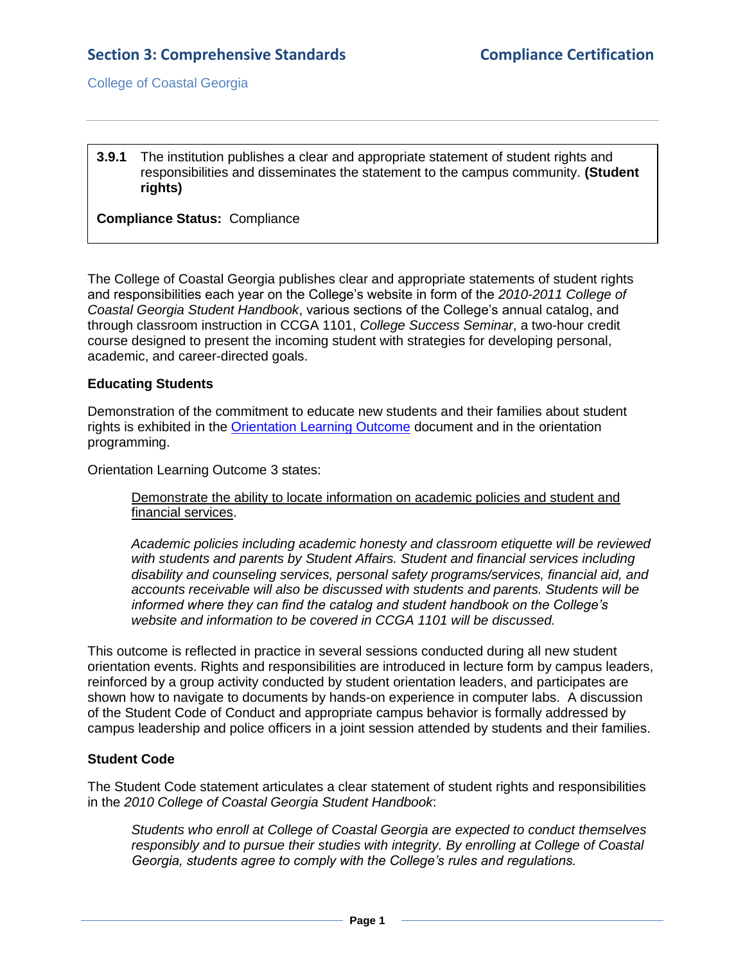**3.9.1** The institution publishes a clear and appropriate statement of student rights and responsibilities and disseminates the statement to the campus community. **(Student rights)**

## **Compliance Status:** Compliance

The College of Coastal Georgia publishes clear and appropriate statements of student rights and responsibilities each year on the College's website in form of the *2010-2011 College of Coastal Georgia Student Handbook*, various sections of the College's annual catalog, and through classroom instruction in CCGA 1101, *College Success Seminar*, a two-hour credit course designed to present the incoming student with strategies for developing personal, academic, and career-directed goals.

### **Educating Students**

Demonstration of the commitment to educate new students and their families about student rights is exhibited in the [Orientation Learning Outcome](3.9.1.bOrientationLearningOutcomes.pdf#page=1) document and in the orientation programming.

Orientation Learning Outcome 3 states:

Demonstrate the ability to locate information on academic policies and student and financial services.

*Academic policies including academic honesty and classroom etiquette will be reviewed with students and parents by Student Affairs. Student and financial services including disability and counseling services, personal safety programs/services, financial aid, and accounts receivable will also be discussed with students and parents. Students will be informed where they can find the catalog and student handbook on the College's website and information to be covered in CCGA 1101 will be discussed.* 

This outcome is reflected in practice in several sessions conducted during all new student orientation events. Rights and responsibilities are introduced in lecture form by campus leaders, reinforced by a group activity conducted by student orientation leaders, and participates are shown how to navigate to documents by hands-on experience in computer labs. A discussion of the Student Code of Conduct and appropriate campus behavior is formally addressed by campus leadership and police officers in a joint session attended by students and their families.

### **Student Code**

The Student Code statement articulates a clear statement of student rights and responsibilities in the *2010 College of Coastal Georgia Student Handbook*:

*Students who enroll at College of Coastal Georgia are expected to conduct themselves responsibly and to pursue their studies with integrity. By enrolling at College of Coastal Georgia, students agree to comply with the College's rules and regulations.*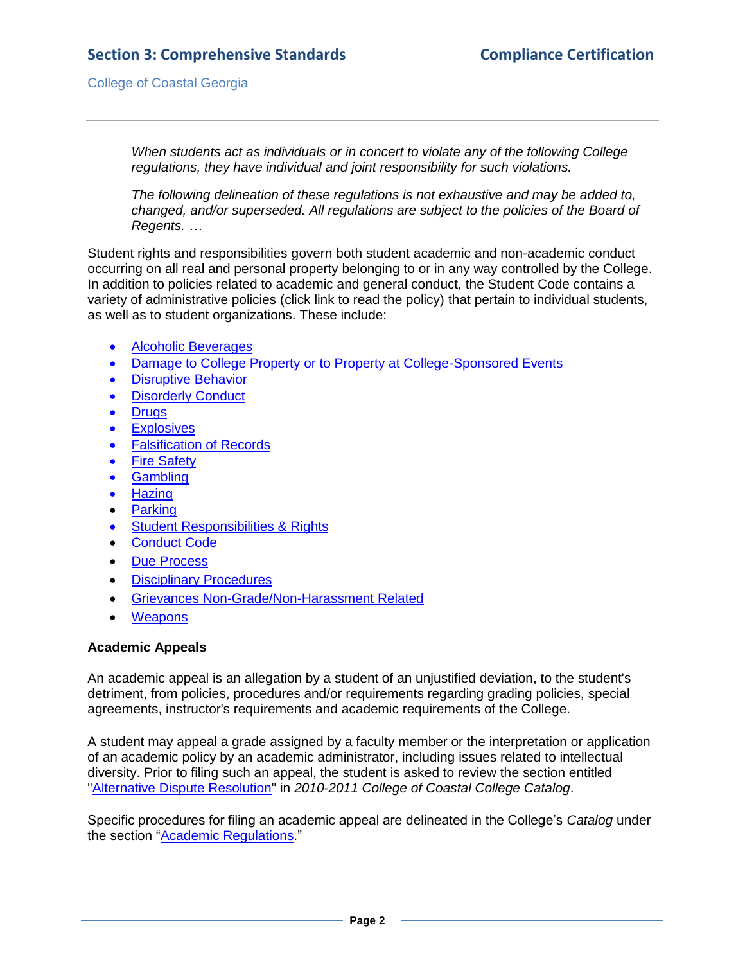# **Section 3: Comprehensive Standards Compliance Certification**

College of Coastal Georgia

*When students act as individuals or in concert to violate any of the following College regulations, they have individual and joint responsibility for such violations.* 

*The following delineation of these regulations is not exhaustive and may be added to, changed, and/or superseded. All regulations are subject to the policies of the Board of Regents. …*

Student rights and responsibilities govern both student academic and non-academic conduct occurring on all real and personal property belonging to or in any way controlled by the College. In addition to policies related to academic and general conduct, the Student Code contains a variety of administrative policies (click link to read the policy) that pertain to individual students, as well as to student organizations. These include:

- [Alcoholic Beverages](StudentHandbook.pdf#page=13)
- [Damage to College Property or to Property at College-Sponsored Events](StudentHandbook.pdf#page=13)
- **•** [Disruptive Behavior](StudentHandbook.pdf#page=13)
- [Disorderly Conduct](StudentHandbook.pdf#page=13)
- [Drugs](StudentHandbook.pdf#page=13)
- **•** [Explosives](StudentHandbook.pdf#page=13)
- **•** [Falsification of Records](StudentHandbook.pdf#page=13)
- [Fire Safety](StudentHandbook.pdf#page=13)
- [Gambling](StudentHandbook.pdf#page=13)
- [Hazing](StudentHandbook.pdf#page=13)
- [Parking](StudentHandbook.pdf#page=13)
- **•** [Student Responsibilities & Rights](StudentHandbook.pdf#page=12)
- [Conduct Code](StudentHandbook.pdf#page=12)
- [Due Process](StudentHandbook.pdf#page=14)
- **•** [Disciplinary Procedures](StudentHandbook.pdf#page=15)
- [Grievances Non-Grade/Non-Harassment Related](StudentHandbook.pdf#page=17)
- [Weapons](StudentHandbook.pdf#page=14)

### **Academic Appeals**

An academic appeal is an allegation by a student of an unjustified deviation, to the student's detriment, from policies, procedures and/or requirements regarding grading policies, special agreements, instructor's requirements and academic requirements of the College.

A student may appeal a grade assigned by a faculty member or the interpretation or application of an academic policy by an academic administrator, including issues related to intellectual diversity. Prior to filing such an appeal, the student is asked to review the section entitled ["Alternative Dispute Resolution"](StudentHandbook.pdf#page=17) in *2010-2011 College of Coastal College Catalog*.

Specific procedures for filing an academic appeal are delineated in the College's *Catalog* under the section ["Academic Regulations.](CCGAcatalog.pdf#page=46)"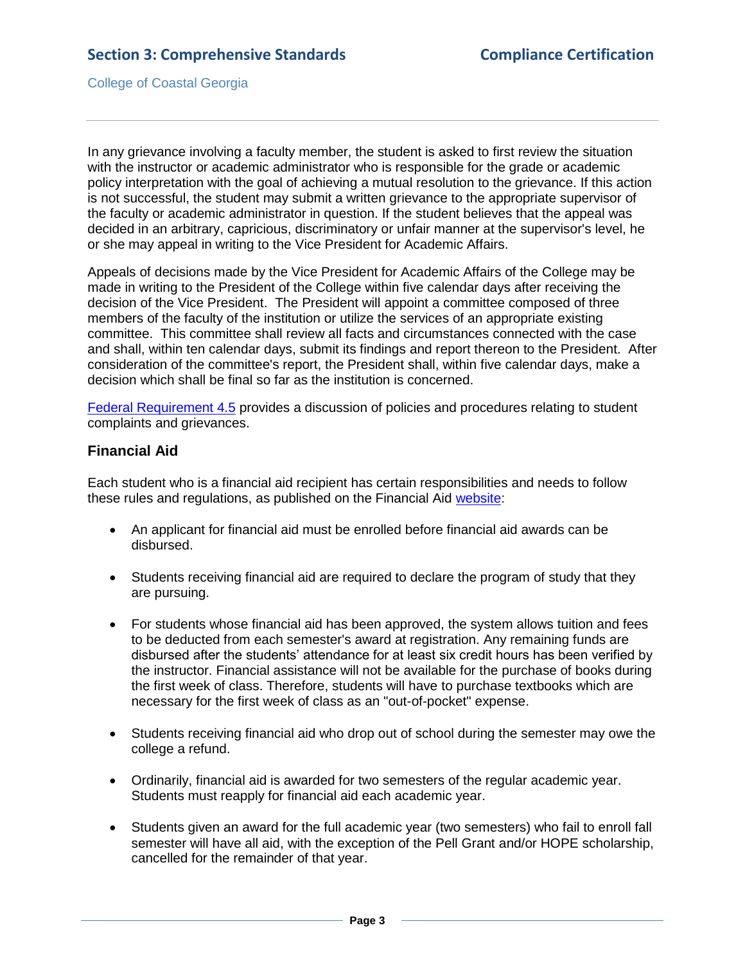In any grievance involving a faculty member, the student is asked to first review the situation with the instructor or academic administrator who is responsible for the grade or academic policy interpretation with the goal of achieving a mutual resolution to the grievance. If this action is not successful, the student may submit a written grievance to the appropriate supervisor of the faculty or academic administrator in question. If the student believes that the appeal was decided in an arbitrary, capricious, discriminatory or unfair manner at the supervisor's level, he or she may appeal in writing to the Vice President for Academic Affairs.

Appeals of decisions made by the Vice President for Academic Affairs of the College may be made in writing to the President of the College within five calendar days after receiving the decision of the Vice President. The President will appoint a committee composed of three members of the faculty of the institution or utilize the services of an appropriate existing committee. This committee shall review all facts and circumstances connected with the case and shall, within ten calendar days, submit its findings and report thereon to the President. After consideration of the committee's report, the President shall, within five calendar days, make a decision which shall be final so far as the institution is concerned.

[Federal Requirement 4.5](4.5.pdf#page=1) provides a discussion of policies and procedures relating to student complaints and grievances.

# **Financial Aid**

Each student who is a financial aid recipient has certain responsibilities and needs to follow these rules and regulations, as published on the Financial Aid [website:](3.9.1.dFArights&responsibilities.htm#page=1)

- An applicant for financial aid must be enrolled before financial aid awards can be disbursed.
- Students receiving financial aid are required to declare the program of study that they are pursuing.
- For students whose financial aid has been approved, the system allows tuition and fees to be deducted from each semester's award at registration. Any remaining funds are disbursed after the students' attendance for at least six credit hours has been verified by the instructor. Financial assistance will not be available for the purchase of books during the first week of class. Therefore, students will have to purchase textbooks which are necessary for the first week of class as an "out-of-pocket" expense.
- Students receiving financial aid who drop out of school during the semester may owe the college a refund.
- Ordinarily, financial aid is awarded for two semesters of the regular academic year. Students must reapply for financial aid each academic year.
- Students given an award for the full academic year (two semesters) who fail to enroll fall semester will have all aid, with the exception of the Pell Grant and/or HOPE scholarship, cancelled for the remainder of that year.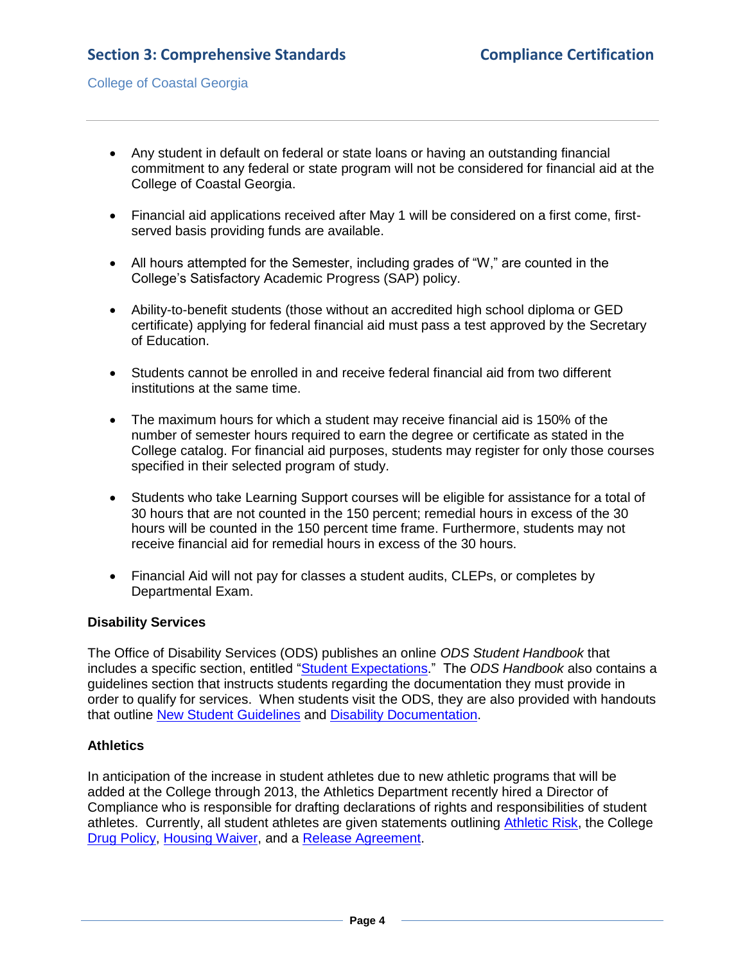- Any student in default on federal or state loans or having an outstanding financial commitment to any federal or state program will not be considered for financial aid at the College of Coastal Georgia.
- Financial aid applications received after May 1 will be considered on a first come, firstserved basis providing funds are available.
- All hours attempted for the Semester, including grades of "W," are counted in the College's Satisfactory Academic Progress (SAP) policy.
- Ability-to-benefit students (those without an accredited high school diploma or GED certificate) applying for federal financial aid must pass a test approved by the Secretary of Education.
- Students cannot be enrolled in and receive federal financial aid from two different institutions at the same time.
- The maximum hours for which a student may receive financial aid is 150% of the number of semester hours required to earn the degree or certificate as stated in the College catalog. For financial aid purposes, students may register for only those courses specified in their selected program of study.
- Students who take Learning Support courses will be eligible for assistance for a total of 30 hours that are not counted in the 150 percent; remedial hours in excess of the 30 hours will be counted in the 150 percent time frame. Furthermore, students may not receive financial aid for remedial hours in excess of the 30 hours.
- Financial Aid will not pay for classes a student audits, CLEPs, or completes by Departmental Exam.

## **Disability Services**

The Office of Disability Services (ODS) publishes an online *ODS Student Handbook* that includes a specific section, entitled ["Student Expectations.](2.10.fODSHandbook.pdf#page=5)" The *ODS Handbook* also contains a guidelines section that instructs students regarding the documentation they must provide in order to qualify for services. When students visit the ODS, they are also provided with handouts that outline [New Student Guidelines](3.9.1.eDisabilityNewStudent.pdf#page=1) and [Disability Documentation.](3.9.1.eDisabilityDocumentation.pdf#page=1)

## **Athletics**

In anticipation of the increase in student athletes due to new athletic programs that will be added at the College through 2013, the Athletics Department recently hired a Director of Compliance who is responsible for drafting declarations of rights and responsibilities of student athletes. Currently, all student athletes are given statements outlining [Athletic Risk,](3.9.1.fAthleticRisk.pdf#page=1) the College [Drug Policy,](3.9.1.gAhleticDrugPolicy.pdf#page=1) [Housing Waiver,](3.9.1.hAthleticHousingWaiver.pdf#page=1) and a [Release Agreement.](3.9.1.iAthleticReleaseAgreement.pdf#page=1)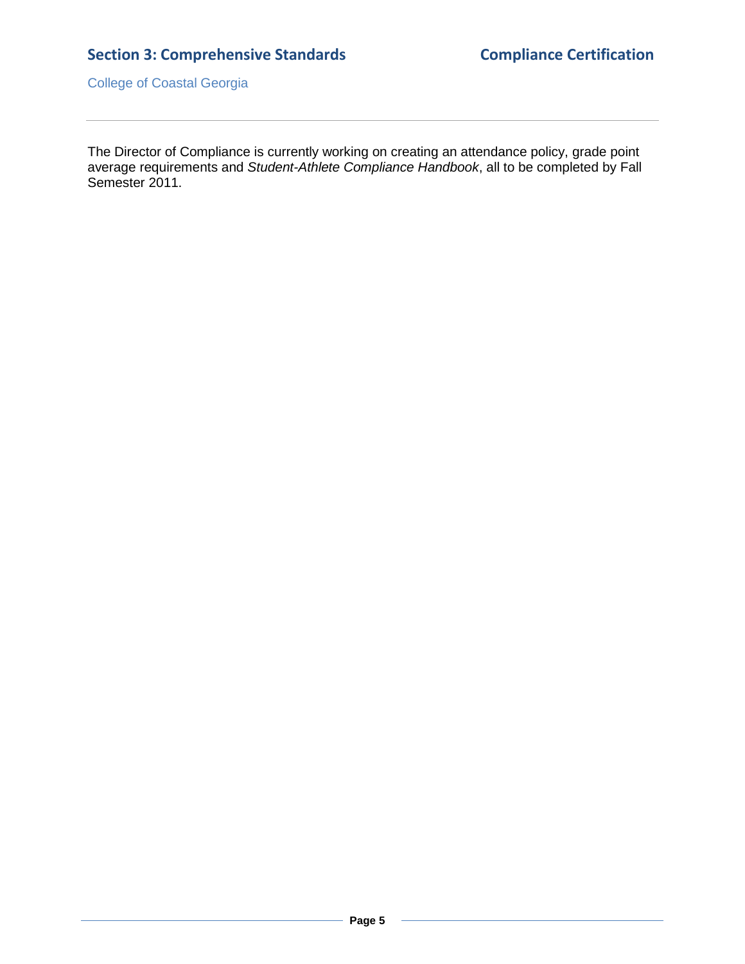# **Section 3: Comprehensive Standards Compliance Certification**

College of Coastal Georgia

The Director of Compliance is currently working on creating an attendance policy, grade point average requirements and *Student-Athlete Compliance Handbook*, all to be completed by Fall Semester 2011.